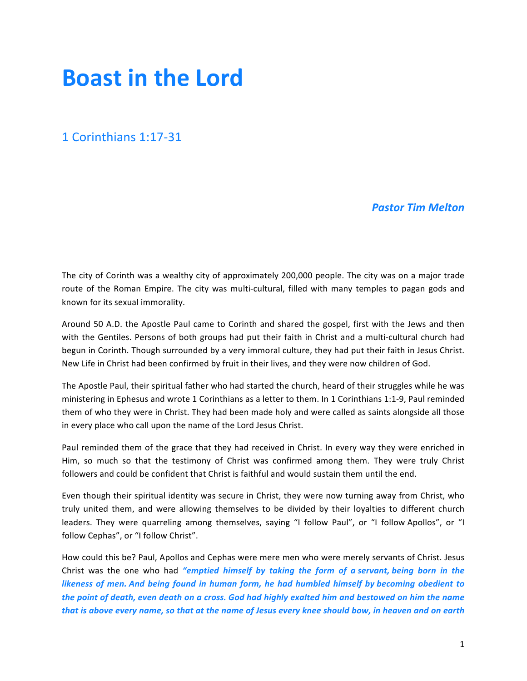# **Boast in the Lord**

## 1 Corinthians 1:17-31

## *Pastor Tim Melton*

The city of Corinth was a wealthy city of approximately 200,000 people. The city was on a major trade route of the Roman Empire. The city was multi-cultural, filled with many temples to pagan gods and known for its sexual immorality.

Around 50 A.D. the Apostle Paul came to Corinth and shared the gospel, first with the Jews and then with the Gentiles. Persons of both groups had put their faith in Christ and a multi-cultural church had begun in Corinth. Though surrounded by a very immoral culture, they had put their faith in Jesus Christ. New Life in Christ had been confirmed by fruit in their lives, and they were now children of God.

The Apostle Paul, their spiritual father who had started the church, heard of their struggles while he was ministering in Ephesus and wrote 1 Corinthians as a letter to them. In 1 Corinthians 1:1-9, Paul reminded them of who they were in Christ. They had been made holy and were called as saints alongside all those in every place who call upon the name of the Lord Jesus Christ.

Paul reminded them of the grace that they had received in Christ. In every way they were enriched in Him, so much so that the testimony of Christ was confirmed among them. They were truly Christ followers and could be confident that Christ is faithful and would sustain them until the end.

Even though their spiritual identity was secure in Christ, they were now turning away from Christ, who truly united them, and were allowing themselves to be divided by their loyalties to different church leaders. They were quarreling among themselves, saying "I follow Paul", or "I follow Apollos", or "I follow Cephas", or "I follow Christ".

How could this be? Paul, Apollos and Cephas were mere men who were merely servants of Christ. Jesus Christ was the one who had "emptied himself by taking the form of a servant, being born in the *likeness* of men. And being found in human form, he had humbled himself by becoming obedient to *the point of death, even death on a cross. God had highly exalted him and bestowed on him the name that* is above every name, so that at the name of Jesus every knee should bow, in heaven and on earth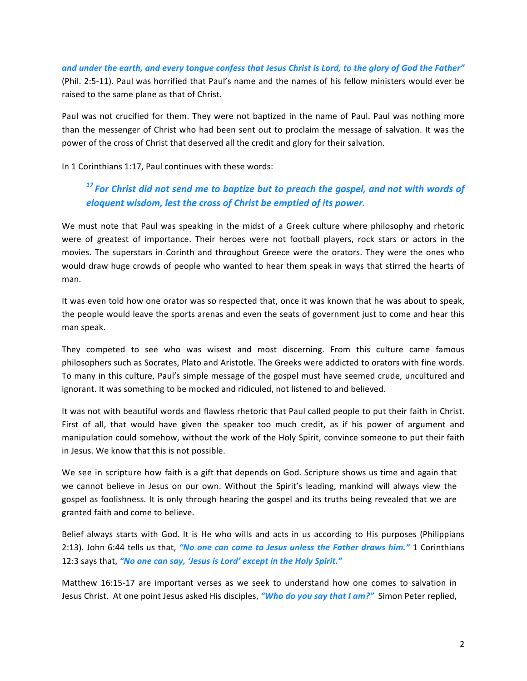and under the earth, and every tongue confess that Jesus Christ is Lord, to the glory of God the Father" (Phil. 2:5-11). Paul was horrified that Paul's name and the names of his fellow ministers would ever be raised to the same plane as that of Christ.

Paul was not crucified for them. They were not baptized in the name of Paul. Paul was nothing more than the messenger of Christ who had been sent out to proclaim the message of salvation. It was the power of the cross of Christ that deserved all the credit and glory for their salvation.

In 1 Corinthians 1:17, Paul continues with these words:

## <sup>17</sup> For Christ did not send me to baptize but to preach the gospel, and not with words of *eloquent wisdom, lest the cross of Christ be emptied of its power.*

We must note that Paul was speaking in the midst of a Greek culture where philosophy and rhetoric were of greatest of importance. Their heroes were not football players, rock stars or actors in the movies. The superstars in Corinth and throughout Greece were the orators. They were the ones who would draw huge crowds of people who wanted to hear them speak in ways that stirred the hearts of man.

It was even told how one orator was so respected that, once it was known that he was about to speak, the people would leave the sports arenas and even the seats of government just to come and hear this man speak.

They competed to see who was wisest and most discerning. From this culture came famous philosophers such as Socrates, Plato and Aristotle. The Greeks were addicted to orators with fine words. To many in this culture, Paul's simple message of the gospel must have seemed crude, uncultured and ignorant. It was something to be mocked and ridiculed, not listened to and believed.

It was not with beautiful words and flawless rhetoric that Paul called people to put their faith in Christ. First of all, that would have given the speaker too much credit, as if his power of argument and manipulation could somehow, without the work of the Holy Spirit, convince someone to put their faith in Jesus. We know that this is not possible.

We see in scripture how faith is a gift that depends on God. Scripture shows us time and again that we cannot believe in Jesus on our own. Without the Spirit's leading, mankind will always view the gospel as foolishness. It is only through hearing the gospel and its truths being revealed that we are granted faith and come to believe.

Belief always starts with God. It is He who wills and acts in us according to His purposes (Philippians 2:13). John 6:44 tells us that, "No one can come to Jesus unless the Father draws him." 1 Corinthians 12:3 says that, "No one can say, 'Jesus is Lord' except in the Holy Spirit."

Matthew 16:15-17 are important verses as we seek to understand how one comes to salvation in Jesus Christ. At one point Jesus asked His disciples, "Who do you say that I am?" Simon Peter replied,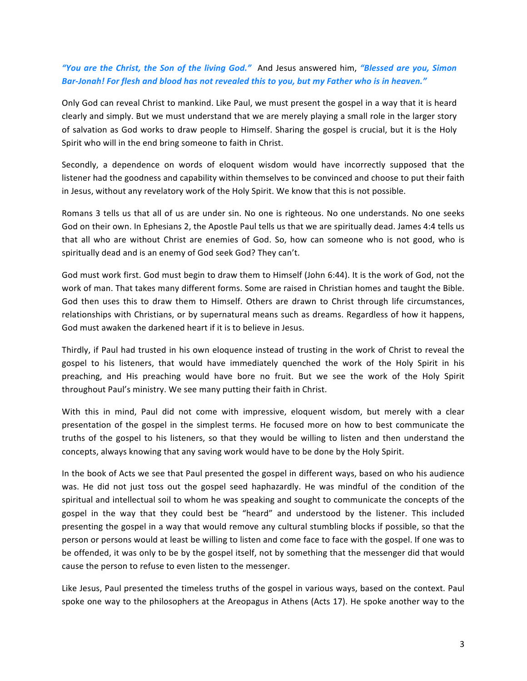### *"You are the Christ, the Son of the living God."* And Jesus answered him, *"Blessed are you, Simon* Bar-Jonah! For flesh and blood has not revealed this to you, but my Father who is in heaven."

Only God can reveal Christ to mankind. Like Paul, we must present the gospel in a way that it is heard clearly and simply. But we must understand that we are merely playing a small role in the larger story of salvation as God works to draw people to Himself. Sharing the gospel is crucial, but it is the Holy Spirit who will in the end bring someone to faith in Christ.

Secondly, a dependence on words of eloquent wisdom would have incorrectly supposed that the listener had the goodness and capability within themselves to be convinced and choose to put their faith in Jesus, without any revelatory work of the Holy Spirit. We know that this is not possible.

Romans 3 tells us that all of us are under sin. No one is righteous. No one understands. No one seeks God on their own. In Ephesians 2, the Apostle Paul tells us that we are spiritually dead. James 4:4 tells us that all who are without Christ are enemies of God. So, how can someone who is not good, who is spiritually dead and is an enemy of God seek God? They can't.

God must work first. God must begin to draw them to Himself (John 6:44). It is the work of God, not the work of man. That takes many different forms. Some are raised in Christian homes and taught the Bible. God then uses this to draw them to Himself. Others are drawn to Christ through life circumstances, relationships with Christians, or by supernatural means such as dreams. Regardless of how it happens, God must awaken the darkened heart if it is to believe in Jesus.

Thirdly, if Paul had trusted in his own eloquence instead of trusting in the work of Christ to reveal the gospel to his listeners, that would have immediately quenched the work of the Holy Spirit in his preaching, and His preaching would have bore no fruit. But we see the work of the Holy Spirit throughout Paul's ministry. We see many putting their faith in Christ.

With this in mind, Paul did not come with impressive, eloquent wisdom, but merely with a clear presentation of the gospel in the simplest terms. He focused more on how to best communicate the truths of the gospel to his listeners, so that they would be willing to listen and then understand the concepts, always knowing that any saving work would have to be done by the Holy Spirit.

In the book of Acts we see that Paul presented the gospel in different ways, based on who his audience was. He did not just toss out the gospel seed haphazardly. He was mindful of the condition of the spiritual and intellectual soil to whom he was speaking and sought to communicate the concepts of the gospel in the way that they could best be "heard" and understood by the listener. This included presenting the gospel in a way that would remove any cultural stumbling blocks if possible, so that the person or persons would at least be willing to listen and come face to face with the gospel. If one was to be offended, it was only to be by the gospel itself, not by something that the messenger did that would cause the person to refuse to even listen to the messenger.

Like Jesus, Paul presented the timeless truths of the gospel in various ways, based on the context. Paul spoke one way to the philosophers at the Areopagus in Athens (Acts 17). He spoke another way to the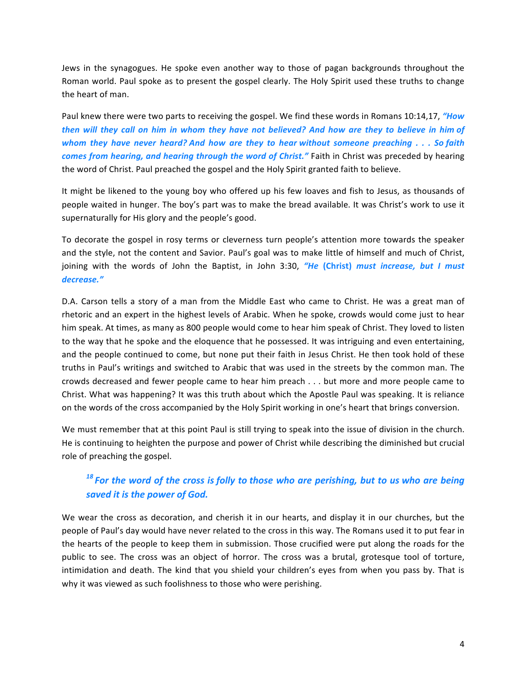Jews in the synagogues. He spoke even another way to those of pagan backgrounds throughout the Roman world. Paul spoke as to present the gospel clearly. The Holy Spirit used these truths to change the heart of man.

Paul knew there were two parts to receiving the gospel. We find these words in Romans 10:14,17, "How *then* will they call on him in whom they have not believed? And how are they to believe in him of *whom* they have never heard? And how are they to hear without someone preaching . . . So faith *comes from hearing, and hearing through the word of Christ."* Faith in Christ was preceded by hearing the word of Christ. Paul preached the gospel and the Holy Spirit granted faith to believe.

It might be likened to the young boy who offered up his few loaves and fish to Jesus, as thousands of people waited in hunger. The boy's part was to make the bread available. It was Christ's work to use it supernaturally for His glory and the people's good.

To decorate the gospel in rosy terms or cleverness turn people's attention more towards the speaker and the style, not the content and Savior. Paul's goal was to make little of himself and much of Christ, joining with the words of John the Baptist, in John 3:30, *"He* (Christ) *must increase, but I must decrease."* 

D.A. Carson tells a story of a man from the Middle East who came to Christ. He was a great man of rhetoric and an expert in the highest levels of Arabic. When he spoke, crowds would come just to hear him speak. At times, as many as 800 people would come to hear him speak of Christ. They loved to listen to the way that he spoke and the eloquence that he possessed. It was intriguing and even entertaining, and the people continued to come, but none put their faith in Jesus Christ. He then took hold of these truths in Paul's writings and switched to Arabic that was used in the streets by the common man. The crowds decreased and fewer people came to hear him preach . . . but more and more people came to Christ. What was happening? It was this truth about which the Apostle Paul was speaking. It is reliance on the words of the cross accompanied by the Holy Spirit working in one's heart that brings conversion.

We must remember that at this point Paul is still trying to speak into the issue of division in the church. He is continuing to heighten the purpose and power of Christ while describing the diminished but crucial role of preaching the gospel.

# <sup>18</sup> For the word of the cross is folly to those who are perishing, but to us who are being **saved it is the power of God.**

We wear the cross as decoration, and cherish it in our hearts, and display it in our churches, but the people of Paul's day would have never related to the cross in this way. The Romans used it to put fear in the hearts of the people to keep them in submission. Those crucified were put along the roads for the public to see. The cross was an object of horror. The cross was a brutal, grotesque tool of torture, intimidation and death. The kind that you shield your children's eyes from when you pass by. That is why it was viewed as such foolishness to those who were perishing.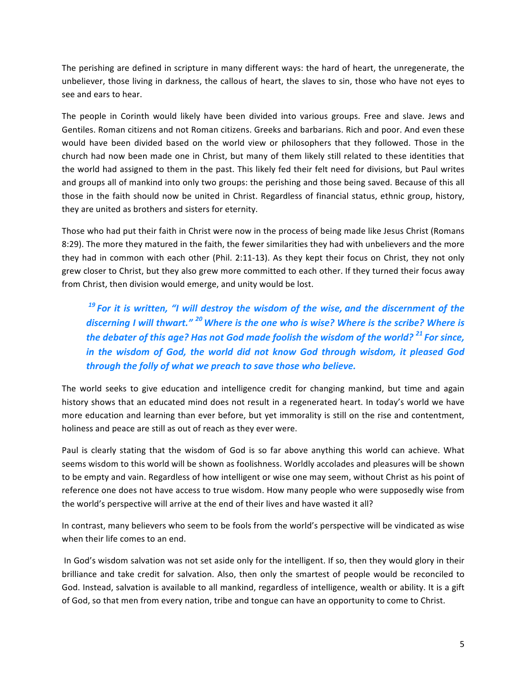The perishing are defined in scripture in many different ways: the hard of heart, the unregenerate, the unbeliever, those living in darkness, the callous of heart, the slaves to sin, those who have not eyes to see and ears to hear.

The people in Corinth would likely have been divided into various groups. Free and slave. Jews and Gentiles. Roman citizens and not Roman citizens. Greeks and barbarians. Rich and poor. And even these would have been divided based on the world view or philosophers that they followed. Those in the church had now been made one in Christ, but many of them likely still related to these identities that the world had assigned to them in the past. This likely fed their felt need for divisions, but Paul writes and groups all of mankind into only two groups: the perishing and those being saved. Because of this all those in the faith should now be united in Christ. Regardless of financial status, ethnic group, history, they are united as brothers and sisters for eternity.

Those who had put their faith in Christ were now in the process of being made like Jesus Christ (Romans 8:29). The more they matured in the faith, the fewer similarities they had with unbelievers and the more they had in common with each other (Phil. 2:11-13). As they kept their focus on Christ, they not only grew closer to Christ, but they also grew more committed to each other. If they turned their focus away from Christ, then division would emerge, and unity would be lost.

<sup>19</sup> For it is written, "I will destroy the wisdom of the wise, and the discernment of the discerning I will thwart." <sup>20</sup> Where is the one who is wise? Where is the scribe? Where is *the debater of this age?* Has not God made foolish the wisdom of the world? <sup>21</sup> For since, *in* the wisdom of God, the world did not know God through wisdom, it pleased God *through the folly of what we preach to save those who believe.* 

The world seeks to give education and intelligence credit for changing mankind, but time and again history shows that an educated mind does not result in a regenerated heart. In today's world we have more education and learning than ever before, but yet immorality is still on the rise and contentment, holiness and peace are still as out of reach as they ever were.

Paul is clearly stating that the wisdom of God is so far above anything this world can achieve. What seems wisdom to this world will be shown as foolishness. Worldly accolades and pleasures will be shown to be empty and vain. Regardless of how intelligent or wise one may seem, without Christ as his point of reference one does not have access to true wisdom. How many people who were supposedly wise from the world's perspective will arrive at the end of their lives and have wasted it all?

In contrast, many believers who seem to be fools from the world's perspective will be vindicated as wise when their life comes to an end.

In God's wisdom salvation was not set aside only for the intelligent. If so, then they would glory in their brilliance and take credit for salvation. Also, then only the smartest of people would be reconciled to God. Instead, salvation is available to all mankind, regardless of intelligence, wealth or ability. It is a gift of God, so that men from every nation, tribe and tongue can have an opportunity to come to Christ.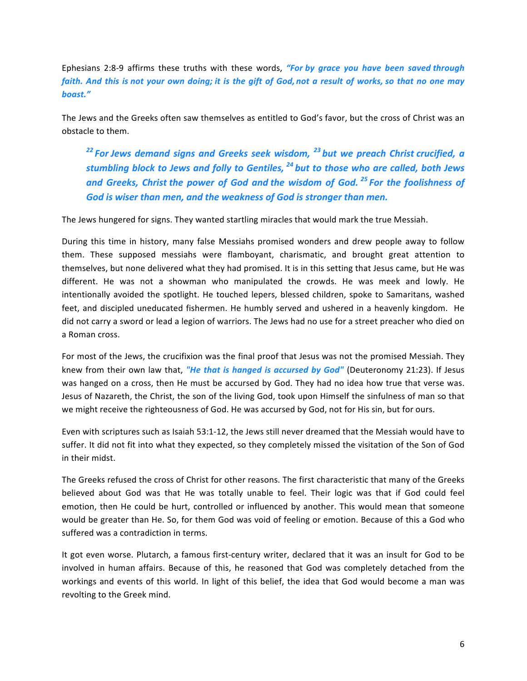Ephesians 2:8-9 affirms these truths with these words, "For by grace you have been saved through *faith.* And this is not your own doing; it is the gift of God, not a result of works, so that no one may *boast."*

The Jews and the Greeks often saw themselves as entitled to God's favor, but the cross of Christ was an obstacle to them.

<sup>22</sup> For Jews demand signs and Greeks seek wisdom, <sup>23</sup> but we preach Christ crucified, a *stumbling block to Jews and folly to Gentiles,*  $^{24}$  *but to those who are called, both Jews* and Greeks, Christ the power of God and the wisdom of God.<sup>25</sup> For the foolishness of God is wiser than men, and the weakness of God is stronger than men.

The Jews hungered for signs. They wanted startling miracles that would mark the true Messiah.

During this time in history, many false Messiahs promised wonders and drew people away to follow them. These supposed messiahs were flamboyant, charismatic, and brought great attention to themselves, but none delivered what they had promised. It is in this setting that Jesus came, but He was different. He was not a showman who manipulated the crowds. He was meek and lowly. He intentionally avoided the spotlight. He touched lepers, blessed children, spoke to Samaritans, washed feet, and discipled uneducated fishermen. He humbly served and ushered in a heavenly kingdom. He did not carry a sword or lead a legion of warriors. The Jews had no use for a street preacher who died on a Roman cross.

For most of the Jews, the crucifixion was the final proof that Jesus was not the promised Messiah. They knew from their own law that, "He that is hanged is accursed by God" (Deuteronomy 21:23). If Jesus was hanged on a cross, then He must be accursed by God. They had no idea how true that verse was. Jesus of Nazareth, the Christ, the son of the living God, took upon Himself the sinfulness of man so that we might receive the righteousness of God. He was accursed by God, not for His sin, but for ours.

Even with scriptures such as Isaiah 53:1-12, the Jews still never dreamed that the Messiah would have to suffer. It did not fit into what they expected, so they completely missed the visitation of the Son of God in their midst.

The Greeks refused the cross of Christ for other reasons. The first characteristic that many of the Greeks believed about God was that He was totally unable to feel. Their logic was that if God could feel emotion, then He could be hurt, controlled or influenced by another. This would mean that someone would be greater than He. So, for them God was void of feeling or emotion. Because of this a God who suffered was a contradiction in terms.

It got even worse. Plutarch, a famous first-century writer, declared that it was an insult for God to be involved in human affairs. Because of this, he reasoned that God was completely detached from the workings and events of this world. In light of this belief, the idea that God would become a man was revolting to the Greek mind.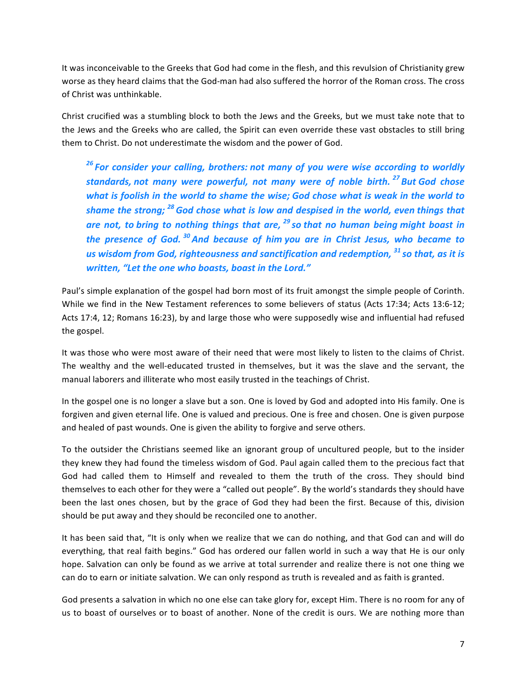It was inconceivable to the Greeks that God had come in the flesh, and this revulsion of Christianity grew worse as they heard claims that the God-man had also suffered the horror of the Roman cross. The cross of Christ was unthinkable.

Christ crucified was a stumbling block to both the Jews and the Greeks, but we must take note that to the Jews and the Greeks who are called, the Spirit can even override these vast obstacles to still bring them to Christ. Do not underestimate the wisdom and the power of God.

<sup>26</sup> For consider your calling, brothers: not many of you were wise according to worldly *standards, not many were powerful, not many were of noble birth.* <sup>27</sup> But God chose *what is foolish in the world to shame the wise; God chose what is weak in the world to shame the strong;* <sup>28</sup> God chose what is low and despised in the world, even things that *are not, to bring to nothing things that are,* <sup>29</sup> so *that no human being might boast in the presence of God.* <sup>30</sup> And because of him you are in Christ Jesus, who became to *us* wisdom from God, righteousness and sanctification and redemption, <sup>31</sup> so that, as it is *written, "Let the one who boasts, boast in the Lord."* 

Paul's simple explanation of the gospel had born most of its fruit amongst the simple people of Corinth. While we find in the New Testament references to some believers of status (Acts 17:34; Acts 13:6-12; Acts 17:4, 12; Romans 16:23), by and large those who were supposedly wise and influential had refused the gospel.

It was those who were most aware of their need that were most likely to listen to the claims of Christ. The wealthy and the well-educated trusted in themselves, but it was the slave and the servant, the manual laborers and illiterate who most easily trusted in the teachings of Christ.

In the gospel one is no longer a slave but a son. One is loved by God and adopted into His family. One is forgiven and given eternal life. One is valued and precious. One is free and chosen. One is given purpose and healed of past wounds. One is given the ability to forgive and serve others.

To the outsider the Christians seemed like an ignorant group of uncultured people, but to the insider they knew they had found the timeless wisdom of God. Paul again called them to the precious fact that God had called them to Himself and revealed to them the truth of the cross. They should bind themselves to each other for they were a "called out people". By the world's standards they should have been the last ones chosen, but by the grace of God they had been the first. Because of this, division should be put away and they should be reconciled one to another.

It has been said that, "It is only when we realize that we can do nothing, and that God can and will do everything, that real faith begins." God has ordered our fallen world in such a way that He is our only hope. Salvation can only be found as we arrive at total surrender and realize there is not one thing we can do to earn or initiate salvation. We can only respond as truth is revealed and as faith is granted.

God presents a salvation in which no one else can take glory for, except Him. There is no room for any of us to boast of ourselves or to boast of another. None of the credit is ours. We are nothing more than